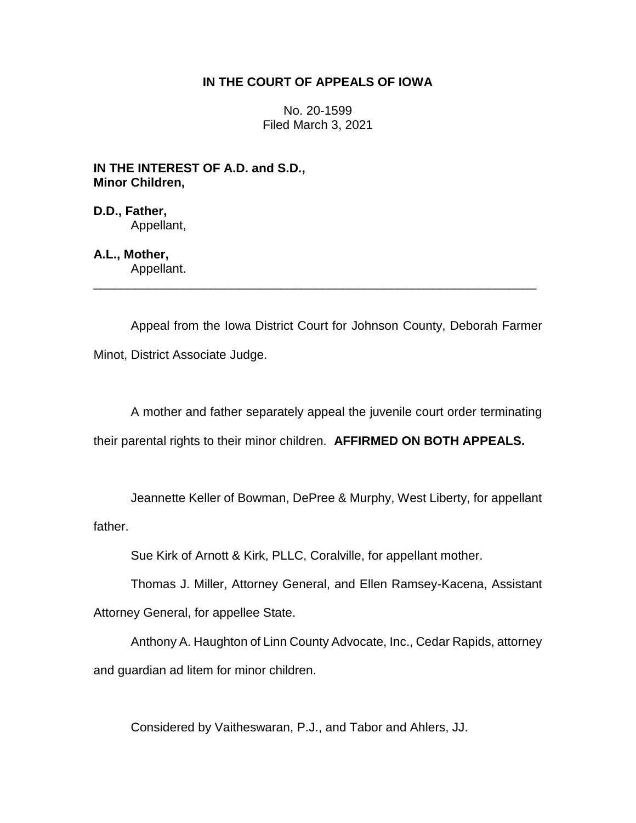## **IN THE COURT OF APPEALS OF IOWA**

No. 20-1599 Filed March 3, 2021

**IN THE INTEREST OF A.D. and S.D., Minor Children,**

**D.D., Father,** Appellant,

## **A.L., Mother,**

Appellant. \_\_\_\_\_\_\_\_\_\_\_\_\_\_\_\_\_\_\_\_\_\_\_\_\_\_\_\_\_\_\_\_\_\_\_\_\_\_\_\_\_\_\_\_\_\_\_\_\_\_\_\_\_\_\_\_\_\_\_\_\_\_\_\_

Appeal from the Iowa District Court for Johnson County, Deborah Farmer Minot, District Associate Judge.

A mother and father separately appeal the juvenile court order terminating their parental rights to their minor children. **AFFIRMED ON BOTH APPEALS.**

Jeannette Keller of Bowman, DePree & Murphy, West Liberty, for appellant father.

Sue Kirk of Arnott & Kirk, PLLC, Coralville, for appellant mother.

Thomas J. Miller, Attorney General, and Ellen Ramsey-Kacena, Assistant

Attorney General, for appellee State.

Anthony A. Haughton of Linn County Advocate, Inc., Cedar Rapids, attorney and guardian ad litem for minor children.

Considered by Vaitheswaran, P.J., and Tabor and Ahlers, JJ.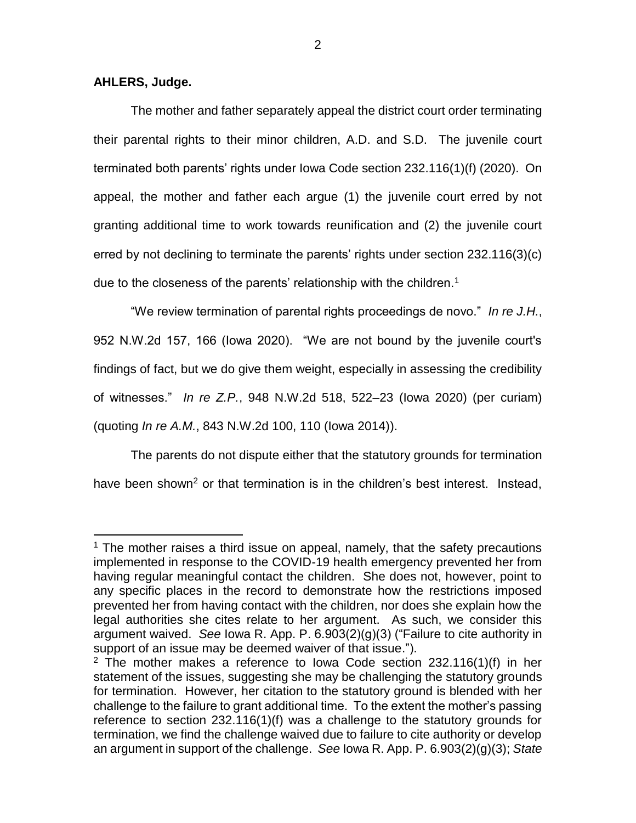## **AHLERS, Judge.**

 $\overline{a}$ 

The mother and father separately appeal the district court order terminating their parental rights to their minor children, A.D. and S.D. The juvenile court terminated both parents' rights under Iowa Code section 232.116(1)(f) (2020). On appeal, the mother and father each argue (1) the juvenile court erred by not granting additional time to work towards reunification and (2) the juvenile court erred by not declining to terminate the parents' rights under section 232.116(3)(c) due to the closeness of the parents' relationship with the children.<sup>1</sup>

"We review termination of parental rights proceedings de novo." *In re J.H.*, 952 N.W.2d 157, 166 (Iowa 2020). "We are not bound by the juvenile court's findings of fact, but we do give them weight, especially in assessing the credibility of witnesses." *In re Z.P.*, 948 N.W.2d 518, 522–23 (Iowa 2020) (per curiam) (quoting *In re A.M.*, 843 N.W.2d 100, 110 (Iowa 2014)).

The parents do not dispute either that the statutory grounds for termination have been shown<sup>2</sup> or that termination is in the children's best interest. Instead,

 $1$  The mother raises a third issue on appeal, namely, that the safety precautions implemented in response to the COVID-19 health emergency prevented her from having regular meaningful contact the children. She does not, however, point to any specific places in the record to demonstrate how the restrictions imposed prevented her from having contact with the children, nor does she explain how the legal authorities she cites relate to her argument. As such, we consider this argument waived. *See* Iowa R. App. P. 6.903(2)(g)(3) ("Failure to cite authority in support of an issue may be deemed waiver of that issue.").

<sup>&</sup>lt;sup>2</sup> The mother makes a reference to lowa Code section  $232.116(1)(f)$  in her statement of the issues, suggesting she may be challenging the statutory grounds for termination. However, her citation to the statutory ground is blended with her challenge to the failure to grant additional time. To the extent the mother's passing reference to section 232.116(1)(f) was a challenge to the statutory grounds for termination, we find the challenge waived due to failure to cite authority or develop an argument in support of the challenge. *See* Iowa R. App. P. 6.903(2)(g)(3); *State*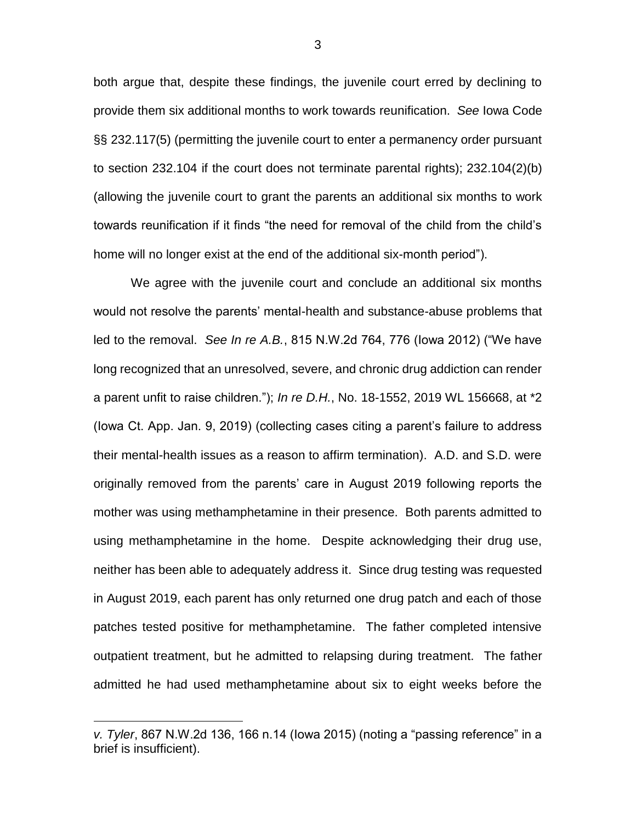both argue that, despite these findings, the juvenile court erred by declining to provide them six additional months to work towards reunification. *See* Iowa Code §§ 232.117(5) (permitting the juvenile court to enter a permanency order pursuant to section 232.104 if the court does not terminate parental rights); 232.104(2)(b) (allowing the juvenile court to grant the parents an additional six months to work towards reunification if it finds "the need for removal of the child from the child's home will no longer exist at the end of the additional six-month period").

We agree with the juvenile court and conclude an additional six months would not resolve the parents' mental-health and substance-abuse problems that led to the removal. *See In re A.B.*, 815 N.W.2d 764, 776 (Iowa 2012) ("We have long recognized that an unresolved, severe, and chronic drug addiction can render a parent unfit to raise children."); *In re D.H.*, No. 18-1552, 2019 WL 156668, at \*2 (Iowa Ct. App. Jan. 9, 2019) (collecting cases citing a parent's failure to address their mental-health issues as a reason to affirm termination). A.D. and S.D. were originally removed from the parents' care in August 2019 following reports the mother was using methamphetamine in their presence. Both parents admitted to using methamphetamine in the home. Despite acknowledging their drug use, neither has been able to adequately address it. Since drug testing was requested in August 2019, each parent has only returned one drug patch and each of those patches tested positive for methamphetamine. The father completed intensive outpatient treatment, but he admitted to relapsing during treatment. The father admitted he had used methamphetamine about six to eight weeks before the

 $\overline{a}$ 

3

*v. Tyler*, 867 N.W.2d 136, 166 n.14 (Iowa 2015) (noting a "passing reference" in a brief is insufficient).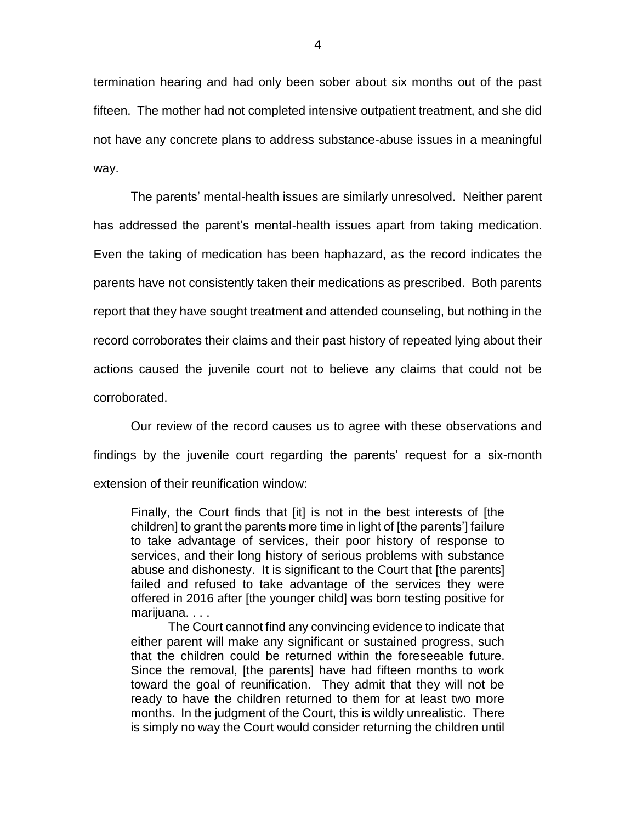termination hearing and had only been sober about six months out of the past fifteen. The mother had not completed intensive outpatient treatment, and she did not have any concrete plans to address substance-abuse issues in a meaningful way.

The parents' mental-health issues are similarly unresolved. Neither parent has addressed the parent's mental-health issues apart from taking medication. Even the taking of medication has been haphazard, as the record indicates the parents have not consistently taken their medications as prescribed. Both parents report that they have sought treatment and attended counseling, but nothing in the record corroborates their claims and their past history of repeated lying about their actions caused the juvenile court not to believe any claims that could not be corroborated.

Our review of the record causes us to agree with these observations and findings by the juvenile court regarding the parents' request for a six-month extension of their reunification window:

Finally, the Court finds that [it] is not in the best interests of [the children] to grant the parents more time in light of [the parents'] failure to take advantage of services, their poor history of response to services, and their long history of serious problems with substance abuse and dishonesty. It is significant to the Court that [the parents] failed and refused to take advantage of the services they were offered in 2016 after [the younger child] was born testing positive for marijuana...

The Court cannot find any convincing evidence to indicate that either parent will make any significant or sustained progress, such that the children could be returned within the foreseeable future. Since the removal, [the parents] have had fifteen months to work toward the goal of reunification. They admit that they will not be ready to have the children returned to them for at least two more months. In the judgment of the Court, this is wildly unrealistic. There is simply no way the Court would consider returning the children until